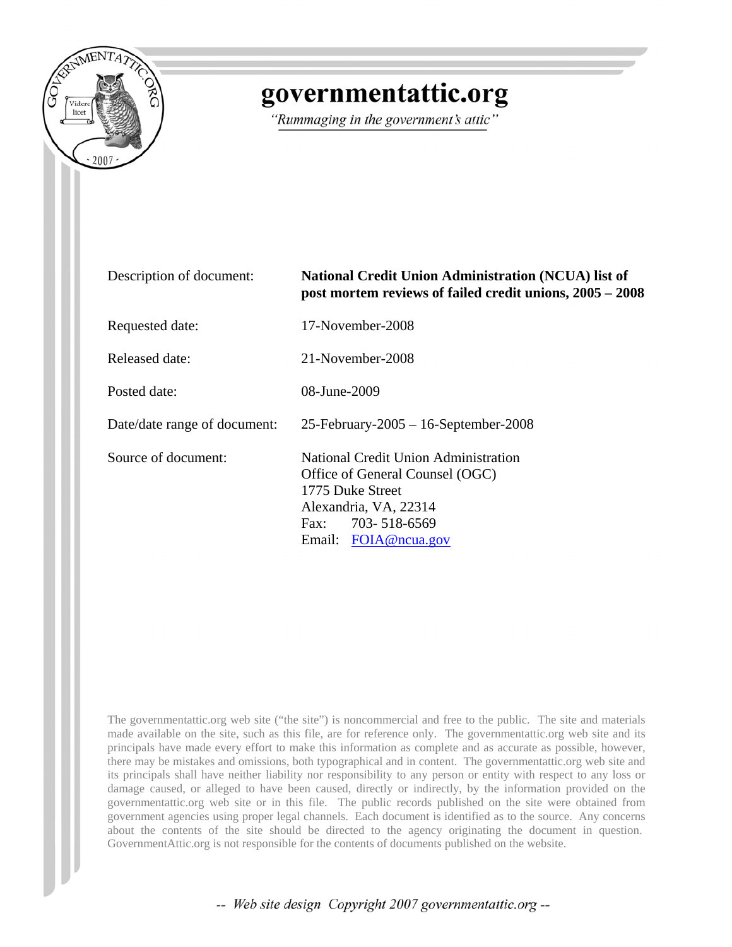

## governmentattic.org

"Rummaging in the government's attic"

| Description of document:     | <b>National Credit Union Administration (NCUA) list of</b><br>post mortem reviews of failed credit unions, 2005 – 2008                                                  |  |  |
|------------------------------|-------------------------------------------------------------------------------------------------------------------------------------------------------------------------|--|--|
| Requested date:              | 17-November-2008                                                                                                                                                        |  |  |
| Released date:               | 21-November-2008                                                                                                                                                        |  |  |
| Posted date:                 | 08-June-2009                                                                                                                                                            |  |  |
| Date/date range of document: | $25$ -February-2005 - 16-September-2008                                                                                                                                 |  |  |
| Source of document:          | National Credit Union Administration<br>Office of General Counsel (OGC)<br>1775 Duke Street<br>Alexandria, VA, 22314<br>Fax: $703 - 518 - 6569$<br>Email: FOIA@ncua.gov |  |  |

The governmentattic.org web site ("the site") is noncommercial and free to the public. The site and materials made available on the site, such as this file, are for reference only. The governmentattic.org web site and its principals have made every effort to make this information as complete and as accurate as possible, however, there may be mistakes and omissions, both typographical and in content. The governmentattic.org web site and its principals shall have neither liability nor responsibility to any person or entity with respect to any loss or damage caused, or alleged to have been caused, directly or indirectly, by the information provided on the governmentattic.org web site or in this file. The public records published on the site were obtained from government agencies using proper legal channels. Each document is identified as to the source. Any concerns about the contents of the site should be directed to the agency originating the document in question. GovernmentAttic.org is not responsible for the contents of documents published on the website.

-- Web site design Copyright 2007 governmentattic.org --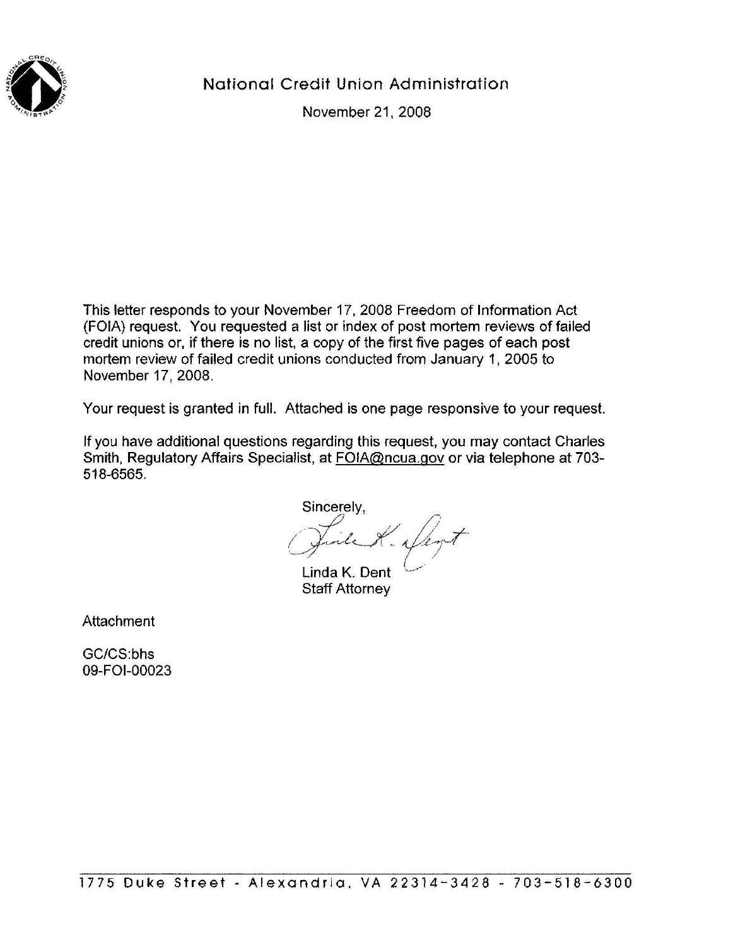

National Credit Union Administration

November 21, 2008

This letter responds to your November 17, 2008 Freedom of Information Act (FOIA) request. You requested a list or index of post mortem reviews of failed credit unions or, if there is no list, a copy of the first five pages of each post mortem review of failed credit unions conducted from January 1, 2005 to November 17, 2008.

Your request is granted in full. Attached is one page responsive to your request.

If you have additional questions regarding this request, you may contact Charles Smith, Regulatory Affairs Specialist, at FOIA@ncua.gov or via telephone at 703- 518-6565.

Sincerely, K. Den

Linda K. Dent Staff Attorney

**Attachment** 

GC/CS:bhs 09-FOI-00023